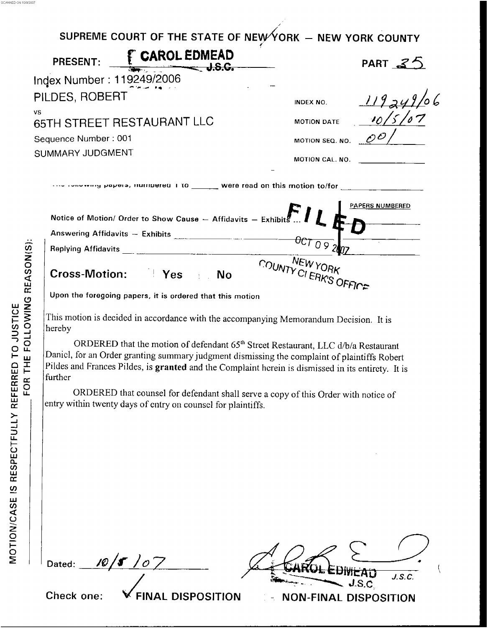| SUPREME COURT OF THE STATE OF NEW YORK - NEW YORK COUNTY          |                                             |
|-------------------------------------------------------------------|---------------------------------------------|
| PRESENT: <u>FCAROL EDMEAD</u>                                     | PART $35$                                   |
| Index Number: 119249/2006                                         |                                             |
| PILDES, ROBERT                                                    | 119249<br>INDEX NO.                         |
| <b>VS</b><br>65TH STREET RESTAURANT LLC                           | 10/5/<br><b>MOTION DATE</b>                 |
| Sequence Number: 001                                              | MOTION SEQ. NO. $\mathscr{O}^{\mathcal{O}}$ |
| SUMMARY JUDGMENT                                                  | MOTION CAL. NO.                             |
|                                                                   |                                             |
| Notice of Motion/ Order to Show Cause $-$ Affidavits $-$ Exhibits | <b>PAPERS NUMBERED</b>                      |
|                                                                   |                                             |
|                                                                   |                                             |
| Cross-Motion: Yes No                                              | COUNTY CI ERK'S OFFICE                      |
| Upon the foregoing papers, it is ordered that this motion         |                                             |

This motion is decided in accordance with the accompanying Memorandum Decision. It is hereby

Daniel, for an Order granting summary judgment dismissing the complaint of plaintiffs Robert Pildes and Frances Pildes, is granted and the Complaint herein is dismissed in its entirety. It is further ORDERED that the motion or defendant *65'"* Street Restaurant, LLC d/b/a Restaurant

ORDERED that counsel for defendant shall serve a copy of this Order with notice of entry within twenty days of entry on counsel for plaintiffs.

10 | 5 1 o 7 Dated:

. . -\_ - - - --

 $J.S.C.$ **Check one:** *d* **FINAL DISPOSITION** - **NON-FINAL DISPOSITION** 

SCANNED ON 101912007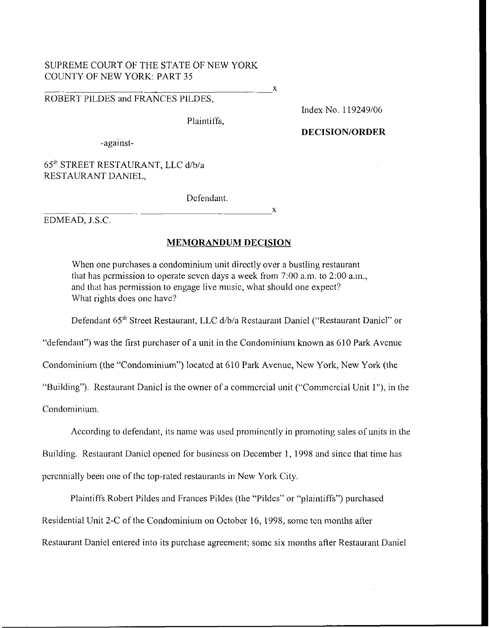# SUPREME COURT OF THE STATE OF NEW YORK COUNTY OF NEW YORK: PART 35 SUPREME COURT OF THE STATE OF NEW YORK<br>COUNTY OF NEW YORK: PART 35<br>ROBERT PILDES and FRANCES PILDES,

Plaintiffs,

Index No. 1 19249/06

#### **DECISION/ORDER**

-against-

# 6Sh STREET RESTAURANT, LLC d/b/a RESTAURANT DANIEL,

De fendant.

~. X EDMEAD, J.S.C.

# **MEMORANDUM DECISION**

When one purchases a condominium unit directly over a bustling restaurant that has permission to operate seven days a week from  $7:00$  a.m., to  $2:00$  a.m., and that has permission to engage live music, what should one expect? What rights does one have?

Defendant 65<sup>th</sup> Street Restaurant, LLC d/b/a Restaurant Daniel ("Restaurant Daniel" or

"defendant") was the first purchaser *of* a unit in the Condominium known as 610 Park Avcnuc

Condominium (the "Condominium") located at 610 Park Avenuc, New York, New York (the

"Building"). Restaurant Daniel is the owner of a commercial unit ("Commercial Unit 1"), in the

Condominium.

According to defendant, its name was used prominently in promoting sales of units in the

Building. Restaurant Danicl opened for business on December 1, 1998 and since that time has

pcrennially been one of the top-rated restaurants in New York City.

Plaintiffs Robert Pildes and Frances Pildes (the "Pildcs" or "plaintiffs") purchascd Residential Unit 2-C of the Condominium on October 16, 1998, some ten months after Restaurant Daniel entered into its purchase agreement; some six months after Restaurant Daniel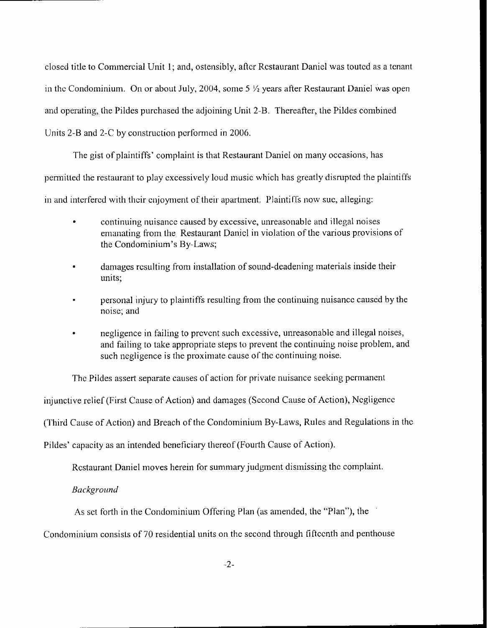closed title to Commercial Unit **1;** and, ostensibly, aftcr Rcstauraiit Daniel was touted as a tcnant in the Condominium. On or about July, 2004, some 5  $\frac{1}{2}$  years after Restaurant Daniel was open and operating, the Pildes purchased the adjoining Unit 2-B. Thereafter, the Pildes combined Units 2-B and 2-C by construction performed in 2006.

The gist of plaintiffs' complaint is that Restaurant Daniel on many occasions, has permitted the restaurant to play excessively loud music which has greatly disruptcd the plaintiffs in and interfered with their cnjoyment of their apartment. Plaintiffs now sue, alleging:

- continuing nuisance caused by excessive, unreasonable and illegal noises  $\bullet$ emanating from the Restaurant Danicl in violation of the various provisions of the Condominium's By-Laws;
- damages resulting from installation of sound-deadening materials inside their units;
- personal injury to plaintiffs resulting from the continuing nuisancc causcd by the noisc; and
- negligence in failing to prcvcnt such excessive, unreasonable and illegal noises,  $\bullet$ and failing to take appropriate steps to prevent the continuing noise problem, **and**  such negligence is the proximate cause of the continuing noise.

The Pildes assert separate causes of action for private nuisance seeking permanent

injunctive relief (First Cause of Action) and damages (Sccond Cause of Action), Ncgligencc

(Third Cause of Action) and Breach of the Condominium By-Laws, Rules and Regulations in the

Pildes' capacity as an intended beneficiary thereof (Fourth Cause of Action).

Restaurant Daniel moves herein for summary judgment dismissing the complaint.

#### *Buckground*

**As** sct forth in the Condominium Offcring Plan (as amended, the "Plan"), the

Condominium consists of 70 residential units on the second through fiftcenth and penthouse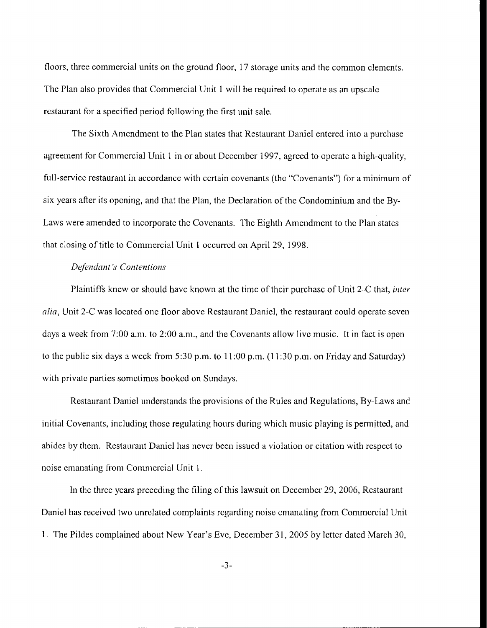floors, three commercial units on the ground floor, 17 storage units and the common clements. The Plan also provides that Commercial Unit 1 will be required to opcrate as an upscalc restaurant for a specified period following thc first unit sale.

The Sixth Amendment to the Plan states that Restaurant Daniel entered into a purchase agreement for Commercial Unit 1 in or about December 1997, agreed to operate a high-quality, full-service restaurant in accordance with certain covenants (the "Covenants") for a minimum of six years after its opcning, and that the Plan, the Declaration of thc Condominium and the By-Laws were amended to incorporate the Covenants. The Eighth Anicndment to the Plan statcs that closing of title to Commercial Unit 1 occurred on April 29, 1998.

#### *<u>Defendant's Contentions</u>*

Plaintiffs knew or should have known at the time of their purchase of Unit 2-C that, *inter calia*, Unit 2-C was located one floor above Restaurant Daniel, the restaurant could operate seven days a week from  $7:00$  a.m. to  $2:00$  a.m., and the Covenants allow live music. It in fact is open to the public six days a wcck from *5:30* p.m. to 1 I :00 p.m. (1 **1** :30 p.m. on Friday and Saturday) with private parties somctimcs bookcd on **Sundays.** 

Restaurant Daniel understands the provisions of the Rules and Regulations, By-Laws and initial Covenants, including thosc regulating hours during which music playing is permittcd, and abides by them. Restaurant Daniel has never been issued a violation or citation with respecl to noise emanating **from** Comnicrcial Unit 1 .

In the three years preceding the filing of this lawsuit on December 29, 2006, Restaurant Daniel has received two unrelated complaints regarding noise emanating from Commercial Unit 1. The Pildes complained about New Year's Eve, December **31,** 2005 by lcttcr datcd March 30,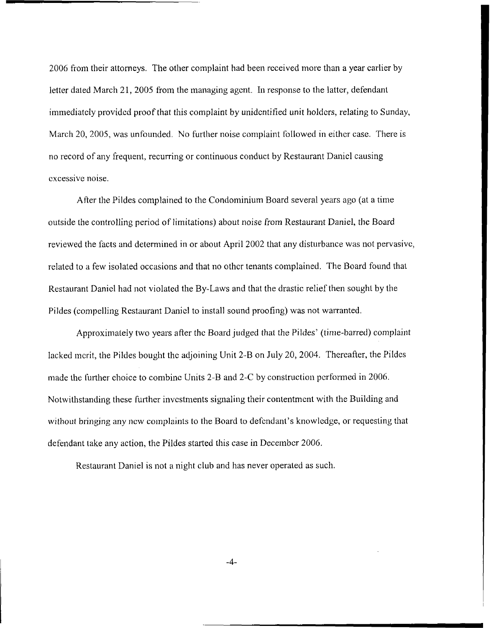2006 from their attorneys. The other complaint had been received more than **a** year carlier by letter dated March 21, 2005 from the managing agent. In response to the latter, defendant immediatcly providcd proof that this complaint by unidcntified unit holdcrs, relating to Sunday, March 20, 2005, was unfounded. No further noise complaint followed in either case. There is no record of any frequent, recurring or continuous conduct by Restaurant Daniel causing cxcessivc noise.

After the Pildes complained to the Condominium Board several years ago (at a time outside the controlling pcriod of limitations) about noise from Restaurant Daniel, the Board reviewed the [acts and determined in or about April 2002 that **any** disturbance was not pervasivc, related to a few isolated occasions and that no othcr tenants complained. The Board found that Restaurant Danicl had not violated the By-Laws and that the drastic relief then sought by the Pildes (compelling Rcstaurant Danjcl to install sound proofing) was not warranted.

Approximately two years after thc Board judged that the Pildes' (time-barred) complaint lacked mcrit, the Pildes bought thc adjoining Unit 2-B on July 20, 2004. Thereafter, the Pildes made the further choice to combine Units 2-B and 2-C by construction performed in 2006. Notwithstanding these further investments signaling their contentment with the Building and without bringing any new complaints to the Board to defendant's knowledge, or requesting that defendant take any action, the Pildes started this case in December 2006.

Restaurant Daniel is not a night club and has never operated as such.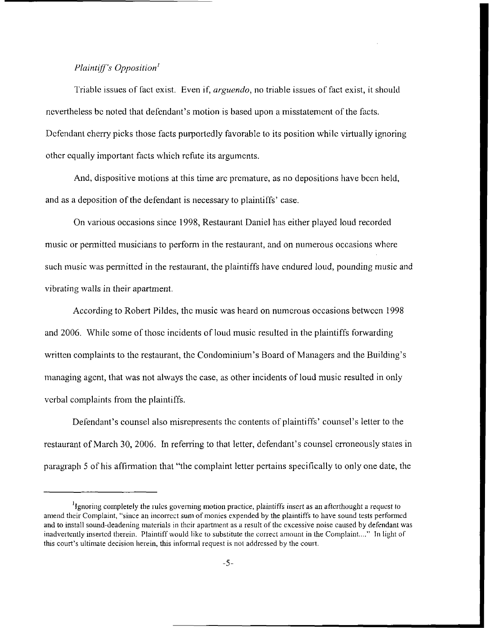## *Plaintiff's Opposition'*

Triable issues of fact exist. Even if, *arguendo*, no triable issues of fact exist, it should nevertheless be noted that defendant's motion is based upon a misstatement of the facts. Defendant cherry picks those facts purportedly favorable to its position while virtually ignoring other equally important facts which refute its arguments.

And, dispositive motions at this time arc premature, as no depositions have bccn held, and as a deposition of the defendant is necessary to plaintiffs' case.

On various occasions since 1 998, Restaurant Daniel has either played loud recorded music or permitted musicians to perforni in the restaurant, and on numerous occasions where such music was permitted in the restaurant, the plaintiffs have endured loud, pounding music and vibrating walls in their apartment,

According to Robert Pildes, thc music was heard on numcrous occasions betwccn 1998 and 2006. While some of those incidents of loud music resulted in the plaintiffs forwarding written complaints to the restaurant, the Condominium's Board of Managers and the Building's managing agcnt, hat was not always thc case, as other incidents of loud music resulted in only vcrbal complaints from the plaintiffs.

Defendant's counsel also misrepresents the contents of plaintiffs' counsel's letter to the rcstaurant of March 30, 2006. In referring to that letter, defendant's counsel crroneously states in paragraph 5 of his affirmation that "the complaint letter pertains specifically to only one date, the

 $<sup>1</sup>$ Ignoring completely the rules governing motion practice, plaintiffs insert as an afterthought a request to</sup> amend thcir Complaint, "since an incorrcct **sum** of monics expended by the plaintiffs to have sound tests performcd and to install sound-deadening matcrials in thcir apartment as *u* result of thc cxcessive noisc caused by defcndant was inadvertently inserted therein. Plaintiff would like to substitute the correct amount in the Complaint...." In light of this court's ultimate decision herein, this informal request is not addressed by the court.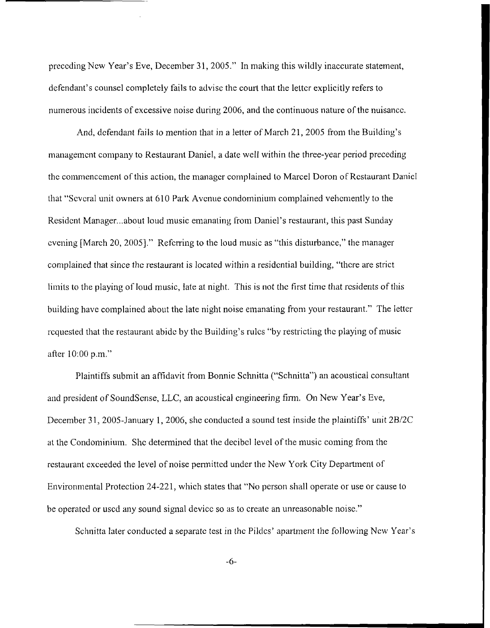preceding New Year's Eve, December 3 1,2005." In making this wildly inaccurate statement, defendant's counsel completely fails to advise the court that the letter explicitly refers to numerous incidents of excessive noise during 2006, and the continuous nature of the nuisance.

And, defendant fails to mention that in a letter of March 21, 2005 from the Building's management company to Restaurant Daniel, a date well within the three-year period preceding the commencement of this action, the manager complained to Marcel Doron of Restaurant Daniel that "Several unit owners at 610 Park Avenue condominium complained vehemently to the Resident Manager... about loud music emanating from Daniel's restaurant, this past Sunday cvening [March 20, 2005]." Referring to the loud music as "this disturbance," the manager complained that since the restaurant is located within a residential building, "there are strict limits to the playing of loud music, late at night. This is not thc first time that rcsidents of this building have complained about the late night noise emanating from your restaurant." The letter rcquested that the restaurant abidc by thc Building's rulcs "by restricting thc playing of music after 1O:OO p.m."

Plaintiffs submit an affidavit from Bonnie Schnitta ("Schnitta") an acoustical consultant and president of SoundScnse, LLC, an acoustical engineering firm. On New Year's Eve, December 31, 2005-January 1, 2006, she conducted a sound test inside the plaintiffs' unit 2B/2C at the Condominium. She determined that the decibel level of the music coming from the restaurant cxceeded the level of noise pennittcd under the New **York** City Department of Environmental Protection 24-221, which states that "No person shall operate or use or cause to be operated or uscd any sound signal device so as to create an unreasonable noise."

Schnitta later conducted a separatc test *in* thc Pildcs' apartment the following New Year's

-6-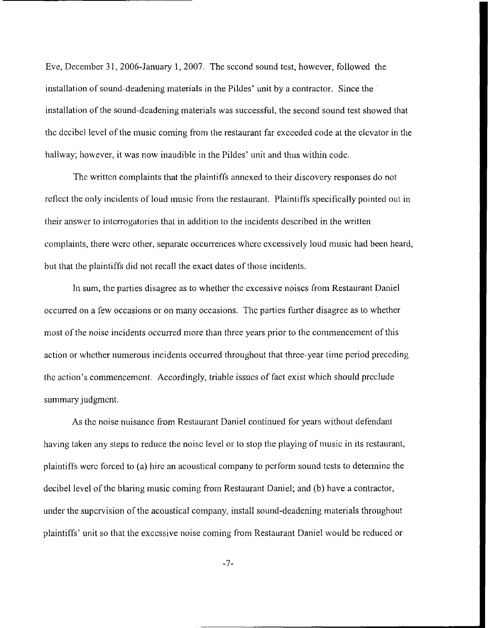Eve, December 3 1, 2006-January 1, 2007. The second sound test, however, followcd the installation of sound-deadening materials in the Pildes' unit by **a** contractor. Since the installation of the sound-dcaderiing materials was successful, the second sound test showed that the decibel level of the music coming from the restaurant far exceeded code at the clevator in the hallway; however, it was now inaudible in the Pildes' unit and thus within codc.

The written complaints that the plaintiffs annexed to their discovery responses do not reflect the only incidents of loud music from the restaurant. Plaintiffs specifically pointed out in their answer to interrogatories that in addition to the incidents described in the written complaints, there wcrc other, separatc occurrences wlicre cxcessively loud music had been heard, but that thc plaintiffs did not recall the exact dates of those incidents.

In sum, the parties disagree as to whether the excessive noises from Restaurant Daniel occurred on a few occasions or on many occasions. The parties further disagree as to whether most of the noise incidents occurred more than three years prior to the commencement of this action or whcther numerous incidents occurred throughout that three-year time pcriod preceding the action's commencement. Accordingly, triable issues of fact exist which should preclude summary judgment.

As thc noise nuisance from Restaurant Daniel continued for years without defendant having taken any steps to reduce the noisc level or to stop the playing of music in its restaurant, plaintiffs were forced to (a) hire an acoustical company to perform sound tests to determine the decibel level of the blaring music coming from Restaurant Daniel; and (b) have a contractor, under the supcrvision of the acoustical company, install sound-deadening materials throughout plaintiffs' unit so that the excessive noise coming from Restaurant Daniel would be rcduced or

-7-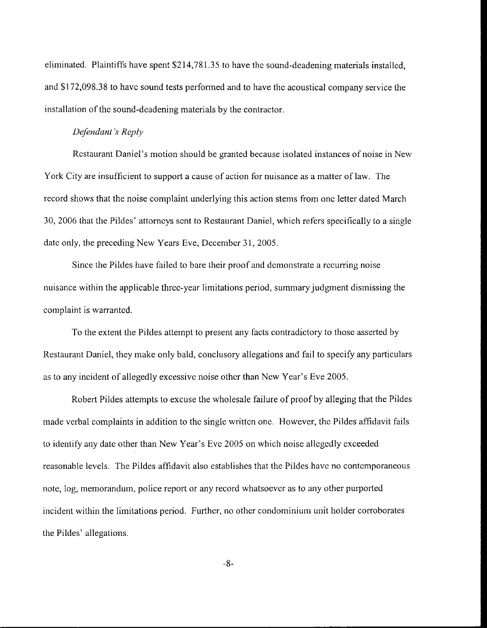eliminated. Plaintiffs have spent \$2 14,78 1.35 to have thc sound-deadening materials installcd, and \$1 72,09&.38 to havc sound tests performed and to have thc acoustical company service the installation of the sound-deadening materials by the contractor.

#### *De feki du ti I* 's *Rep Iy*

Rcstaurant Daniel's motion should be granted because isolated instances of noise in New York City are insufficient to support a cause of action for nuisance as a matter of law. The record shows that the noise complaint underlying this action stems from onc letter dated March 30, 2006 that the Pildes' attorneys scnt to Rcstaurant Daniel, which refers specifically to a single date only, the preceding New Years Eve, December 31, 2005.

Since the Pildes have failed to bare their proof and demonstrate a recurring noise nuisance within the applicable thrcc-year limitations period, summary judgment dismissing the complaint is warrantcd.

To the extent the Pildes attempt to present any facts contradictory to those asserted by Restaurant Daniel, they make only bald, conclusory allegations and fail to specify any particulars as to any incident of allegedly excessive noise other than New Year's Eve 2005.

Robert Pildes attempts to excuse the wholesale failure of proof by alleging that the Pildes made verbal complaints in addition to the single written one. However, the Pildes affidavit fails to identify any date other than New Year's Evc 2005 on which noise allcgcdly cxceeded reasonable levels. The Pildes affidavit also establishes that the Pildes have no contemporaneous note, log, memorandum, police report or any record whatsoevcr as to any other purported incident within the limitations period. Further, no other condominium unit holder corroborates the Pildes' allegations.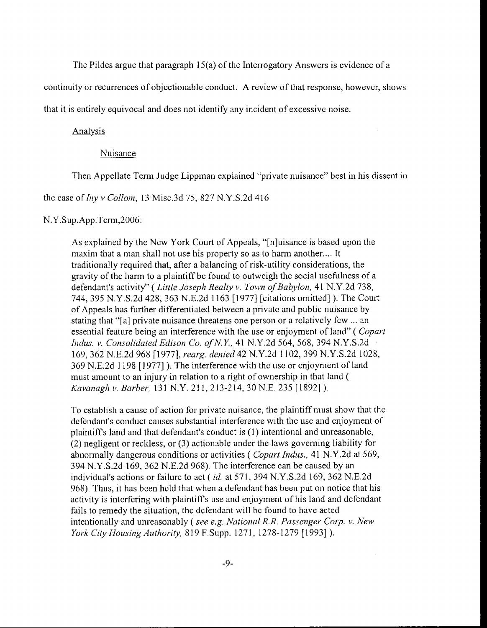The Pildes argue that paragraph I5(a) of the Interrogatory Answers is evidence of a

continuity or recurrences of objectionable conduct. **A** review of that response, howevcr, shows

that it is entirely equivocal and does not identify any incident of excessive noise.

#### **Analysis**

# Nuisance

Then Appellate Term Judge Lipprnan explained "piivate nuisance" best in his dissent **in** 

thc case of *hiy* v *Colloirz,* 13 Misc.3d *75,* 827 N.Y.S.2d 416

#### N.Y.Sup.App.Term,2006:

**As** explained by the Ncw York Court of Appeals, "[n]uisance is based upon the maxim that a man shall not use his property so as to harm another.... It traditionally required that, after a balancing of risk-utility considerations, the gravity of the harm to a plaintiff be found to outweigh the social usefulncss of a defendant's activity" ( *Little Joseph Hcalty v. Town of Bahylori.* 41 N.Y.2d 738, 744, 395 N.Y.S.2d 428, 363 N.E.2d 1 163 [ 19771 [citations omitted] ). The Court of Appeals has further differentiated betwccn a privatc and public nuisance by stating that "[a] private nuisance threatens one person or a rclativcly fcw ... an essential feature being an interference with the use or enjoyment of land" ( *Copart Iiidus. v. Coiisolidutecl Eclison (20, of N. Y.,* 41 N.Y.2d 564, 568, 394 N.Y.S.2d 160, 362 N.E.2d 968 [1977], *rcarg. deriieil42* N.Y.2d 1102, 399 N.Y.S.2d 1028, 369 N.E.2d 1198 [1977]). The interference with the usc or cnjoyment of land must amount to an injury in relation to a right of ownership in that land ( *K~ivanngli* v. *Barher,* 131 N.Y. 21 1, 213-214, 30 N.E. 235 [l892] ).

To establish a cause of action for privatc nuisance, the plaintiff must show that the defendant's conduct causes substantial interference with the use and enjoyment of plaintiffs land and that defendant's conduct is (1 ) intentional and unreasonable, (2) negligent or reckless, or (3) actionable under the laws governing liability for abnormally dangerous conditions or activities (*Copart Indus.*, 41 N.Y.2d at 569, **394** N.Y.S.2d 169, 362 N.E.2d 968). The interfcrence can be caused by **an**  individual's actions or failure to act ( *id.* at 571, **394** N.Y.S.2d 169, 362 N.E.2d 968). Thus, it has bcen hcld that when a defendant has been put on notice that his activity is intcrfcring with plaintiffs use and enjoyment of his land and dcfcndant fails to remedy the situation, the defendant will be found to have acted intentionally and unreasonably ( *see e.g. Nirtioriol R. R. Passenger Corp. v. NEW York City Housing Authority, 819 F.Supp. 1271, 1278-1279 [1993] ).*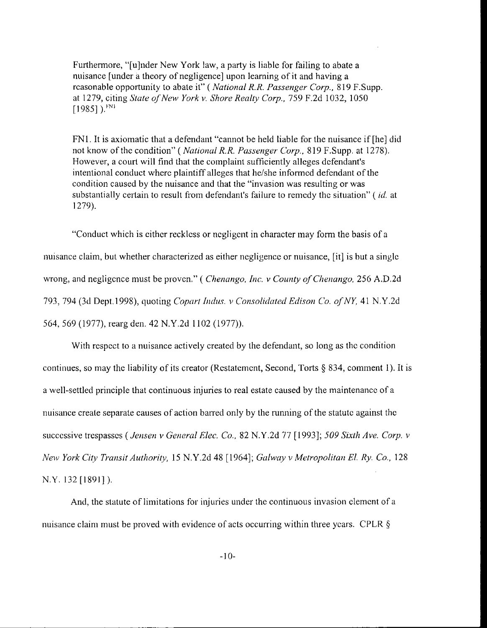Furthermore, "[u]nder New York law, a party is liable for failing to abate a nuisance [under a theory of negligence] upon learning of it and having a rcasonable opportunity to abate it" (*National R.R. Passenger Corp.*, 819 F.Supp. at 1279, citing *Stutc of New York v. Shore Realty Corp.,* 759 F.2d 1032, 1050  $[1985]$ ). $^{FN1}$ 

FNl. It is axiomatic that a defendant "cannot be held liable for the nuisance if [he] did not know of the condition" (*National R.R. Passenger Corp.*, 819 F.Supp. at 1278). However, a court will find that the complaint sufficiently alleges defendant's intentional conduct where plaintiff alleges that he/she informed defendant of the condition caused by the nuisance and that the "invasion was resulting or was substantially certain *to* result from defendant's failure to remcdy the situation" ( *id.* at 1279).

"Conduct which is either reckless or negligent in character may form the basis of a nuisance claim, but whether characterized as either ncgligencc or nuisance, [it] is hut a singlc wrong, and negligcnce must be **Q~OVCII."** ( *Chenmigo, Itic. v Cozitity of CIietiungo.* 256 **A.D.2d**  793, 794 (3d Dept. 1998), quoting *Copart Indus. v Consolidated Edison Co. of NY*, 41 N.Y.2d 564, 569 (1977), rearg den. 42 N.Y.2d I102 (1977)).

With respect to a nuisance actively created by the defendant, so long as the condition continues, so may thc liability of its creator (Rcstatemcnt, Second, Torts *5* **834,** comment 1). It is a well-settled principle that continuous injuries to real estate caused by the maintenance of a nuisance create separate causes of action barred only by the running of the statutc against thc successive trespasses (*Jensen v General Elec. Co.*, 82 N.Y.2d 77 [1993]; 509 Sixth Ave. Corp. *v New York City Transit Authority, 15 N.Y.2d 48 [1964]; Galway v Metropolitan El. Ry. Co., 128* N.Y. 132 [1891]).

And, the statute of limitations for injuries under the continuous invasion element of a nuisance claim must be proved with evidence of acts occurring within three years. CPLR §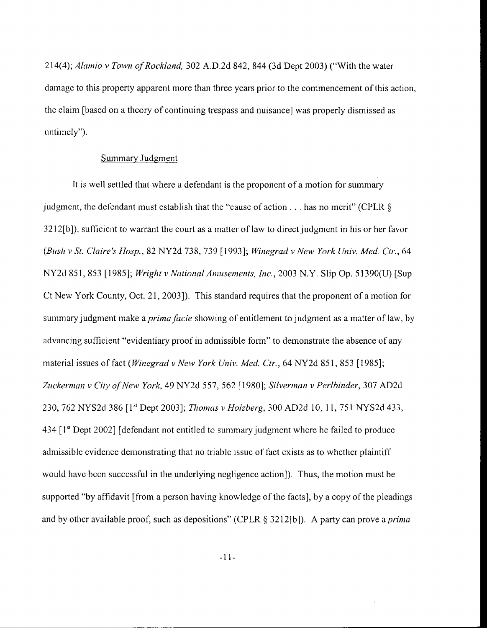21 4(4); *Alarriio v Towii* of *Rocklatid,* 302 A.D.2d 842, 844 (3d Dept 2003) ("With the water damage to this property apparent more than three years prior to the commencement of this action, the claim [based on a theory of continuing trespass and nuisance] was properly dismissed **as**  untimely").

# **Summary Judgment**

It is well settled that where a defendant is the proponcnt of a motion for summary judgment, the defendant must establish that the "cause of action  $\dots$  has no merit" (CPLR  $\delta$ ) **321** 2[b]), surlicicnt to warrant the court as a matter of law to direct judgment in his or her fwor *(Bruli v Sl. Claire's Jlosp.,* 82 NY2d 738, 739 [ 19931; *Winegrad v New York Utziv. Med Ctr.,* 64 **NY2d** *85* 1, **853** [ 1985l; *Wright v Nutioiznl Anzusenzcnts. Znc.,* 2003 N.Y. **Slip** Op. *5* 1390(Uj [Sup Ct New York County, Oct. 21, 20031). This standard requires that the proponent of a motion for summary judgment make a *prima facie* showing of entitlement to judgment as a matter of law, by advancing sufficient "evidentiary proof in admissible form" to demonstrate the absence of any material issues of fact *(Winegrad v New York Univ. Med. Ctr.*, 64 NY2d 851, 853 [1985]; *Zirckerniari v City ofNew York,* 49 NY2d 557, 562 [ 19803; *Silvcrrnari* **v** *Perlhinder, 307* AD2d 230, 762 NYS2d 386 [1<sup>st</sup> Dept 2003]; *Thomas v Holzberg*, 300 AD2d 10, 11, 751 NYS2d 433,  $434$   $[1<sup>st</sup>$  Dept 2002] [defendant not entitled to summary judgment where he failed to produce admissible evidence demonstrating that 110 triablc issuc of fact cxists **as** to whcther plaintiff would have been successful in the underlying negligence action]). Thus, the motion must be supported "by affidavit  $\alpha$  from a person having knowledge of the facts, by a copy of the pleadings and by other available proof, such as depositions" (CPLR § 3212[b]). A party can prove a *prima*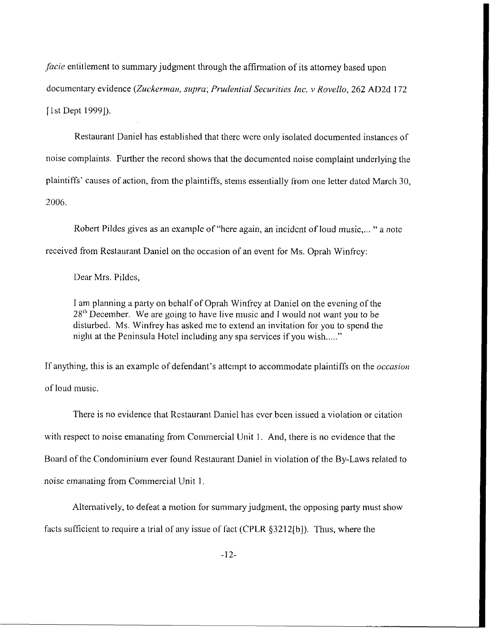*facie* entitlement to summary judgment through the affirmation of its attorney based upon documentary evidence *(Zuckerrnnn, si~pra; Pruckwticrl Serurilies [tic. v Hovello,* **262** ADZd 1 72 [1st Dept 1999]).

Restaurant Daniel has established that therc wcre only isolated documented instances of noise complaints. Further the record shows that the docurncnted noise complaint underlying the plaintiffs' causes of action, from the plaintiffs, stems essentially from one letter dated March 30, 2006.

Robert Pildes gives as an example of "here again, an incident of loud music,..." a note received from Rcslaurant Daniel on thc occasion of an event for Ms. Oprah Winfrcy:

Dear Mrs. Pildes,

I am planning a party on behalf of Oprah Winfrey at Daniel on the evening of the  $28<sup>th</sup>$  December. We are going to have live music and I would not want you to be disturbed. Ms. Winfrey has asked me to extend an invitation for you to spend the night at the Peninsula Hotel including any spa services if you wish....."

If anything, this is an examplc of defendant's attcmpt to accommodate plaintilfs on the *occczsivri*  of loud music.

There is no evidence that Rcstaurant Daniel has cvcr bcen issued a violation or citation with respect to noise emanating from Commercial Unit 1. And, there is no evidence that the Board of thc Condominium ever found Restaurant Daniel in violation of the By-Laws related to noise emanating from Commercial Unit 1.

Alternatively, to defeat a motion for summary judgment, the opposing party must show facts sufficient to require a trial of any issue of fact (CPLR  $\S 3212[b]$ ). Thus, where the

 $-12-$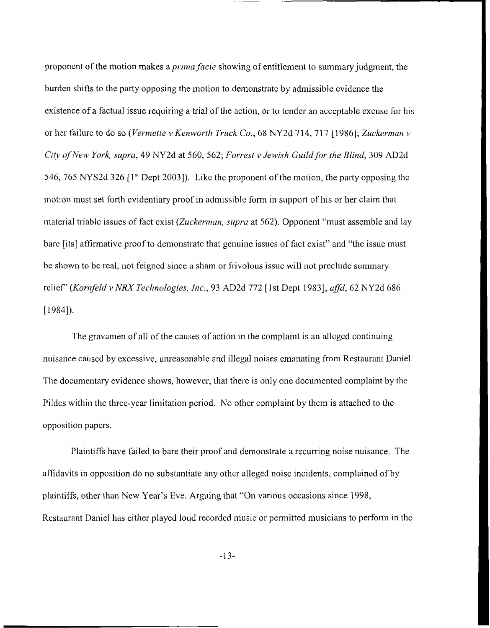proponent of the motion makes a *prima facie* showing of entitlement to summary judgment, the burden shifts to the party opposing the motion to demonstrate by admissible evidence the existence of a factual issue requiring a trial of the action, or to tender an acceptable excuse for his or her failure to do so *(Vermette v Kenworth Truck Co.*, 68 NY2d 714, 717 [1986]; *Zuckerman v City of New York, supra, 49 NY2d at 560, 562; Forrest v Jewish Guild for the Blind, 309 AD2d* 546, 765 NY S2d 326 <sup>[1st</sup> Dept 2003]). Like the proponent of the motion, the party opposing the motion must set forth evidentiary proof in admissible form in support of his or her claim that material triable issues of fact exist *(Zuckerman, supra* at 562). Opponent "must assemble and lay bare [its] affirmative proof to demonstrate that genuine issues of fact exist" and "the issue must bc shown to be rcal, not feigncd since a sham or frivolous issue will not prcclude summary rclief" (Kornfeld v NRX Technologies, Inc., 93 AD2d 772 [1st Dept 1983], affd, 62 NY2d 686  $[1984]$ .

The gravamen of all of the causes of action in the complaint is an alleged continuing nuisance caused by excessive, unreasonable and illegal noises emanating from Restaurant Daniel. The documentary evidence shows, however, that therc is only one documcnted complaint by thc Pildcs within the threc-ycar limitation pcriod. No other complaint by them is attached to the opposition papers.

Plaintiffs have failed to bare their proof and demonstrate a recurring noise nuisance. The affidavits in opposition do no substantiate any othcr alleged noisc incidents, complained of by plaintiffs, other than New Year's Eve. Arguing that "On various occasions since 1998, Restaurant Daniel has either played loud recordcd music or pennittcd musicians to perform in thc

-13-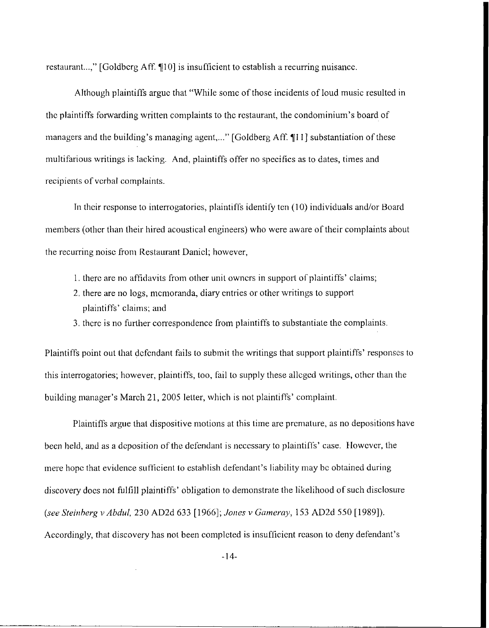restaurant...," [Goldberg Aff.  $[10]$  is insufficient to establish a recurring nuisance.

Although plaintiffs argue that "While some of those incidents of loud music resulted in the plaintiffs forwarding written complaints to the restaurant, the condominium's board of managers and the building's managing agent,..." [Goldberg Aff. 11] substantiation of these multifarious writings is lacking. **And,** plaintiffs offer no spccifics as to dates, times and recipients of vcrbal complaints.

In their response to interrogatories, plaintiffs identify ten  $(10)$  individuals and/or Board members (other than their hired acoustical engineers) who were aware of their complaints about the recurring noisc from Restaurant Danicl; however,

- 1. there are no affidavits from other unit owners in support of plaintiffs' claims;
- 2, there are no logs, mcmoranda, diary entries or other writings to support **<sup>p</sup>**1 ain t i ffs ' c I ai **in** <sup>s</sup>; and
- 3, there is no further correspondence from plaintiffs to substantiate the complaints.

Plaintiffs point out that defendant fails to submit the writings that support plaintiffs' responses to this interrogatories; however, plaintiffs, too, fail to supply these allcgcd wrilings, othcr than the building manager's March 21, 2005 letter, which is not plaintiffs' complaint.

Plaintiffs argue that dispositive motions at this time are premature, as no depositions have been held, and as a deposition of the defendant is necessary to plaintiffs' case. However, the mere hopc that evidence sufficient to establish defendant's liability may bc obtained during discovery docs not **fulfill** plaintiffs' obligation to demonstrate the likelihood of such disclosure *(see Steinherg v Abdzdl,* 230 AD2d 633 [ 19661; *hies* v *Gumerq),* 153 AD2d 550 [ 19891). Accordingly, that discovery has not been completed is insufficient reason to deny defendant's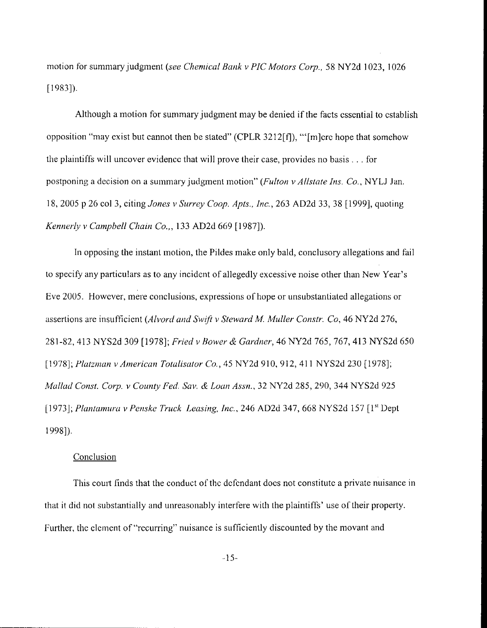motion for summary judgment *(see Chemical Bank v PIC Motors Corp.*, 58 NY2d 1023, 1026 [1983]).

Although a motion for summary judgment may be denied if the facts csscntial to cstablish opposition "may exist but cannot then be stated" (CPLR 3212 $[f]$ ), "'[m]crc hope that somehow the plaintiffs will uncover evidence that will prove their case, provides no basis  $\ldots$  for postponing a decision on a summary judgment motion" *(Fulton v Allstate Ins. Co., NYLJ Jan.* 18, 2005 p 26 col 3, citing *Jories* **1'** *Swrey Coop. Apts., ftic., 263* AD2d 33, 38 [1999], quoting *Kerirzerly* v *Cmnpbell Cliaiti* Co., , **133** AD2d 669 [ 19871).

In opposing the instant motion, the Pildes **make** only bald, conclusory allegations and fiil to specify any particulars as to any incident of allegedly excessive noise other than New Year's Eve *2OO5.* Howcver, mere conclusions, expressions of hope or unsubstantiated allegations or assertions are insufficient *(Alvord and Swift v Steward M. Muller Constr. Co, 46 NY2d 276,* 28142,413 NYS2d 309 [1978]; *Fried v Bower 61. Gnrdtzer,* 46 NY2d 765,767,413 NYS2d 650 [ 10781; *Platznicrn v Arnericnn Totdisator Co,* , 45 NY2d 9 IO, 9 **12, 4** 1 1 NYS2d 230 [ 19781; *Mcrlliril Const. Corp. v Courity Fed. Sm.* **d** Lorn *Assn.,* 32 NY2d 285, 290, **344** NYS2d 925 11 9731; *Pliiatamuro v Periskc Truck Lensing, Im.,* 246 AD2d **347,** 668 NYS2d 157 [ 1'' Dept 19981).

#### **Conclusion**

This court finds that the conduct of the defendant does not constitute a private nuisance in that it did not substantially and unreasonably interfere with the plaintiffs' use of their propcrty. Further, the clement of "recurring" nuisance is sufficiently discounted by the movant and

-15-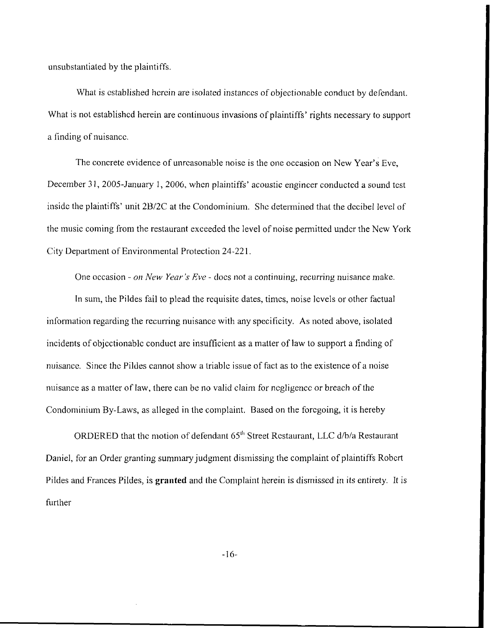unsubstantiated by the plaintiffs.

What is established herein are isolated instances of objectionable conduct by defendant. What is not established herein are continuous invasions of plaintiffs' rights necessary to support a finding of nuisancc.

The concrete evidence of unreasonable noise is the one occasion on New Year's Eve, December 31, 2005-January 1, 2006, when plaintiffs' acoustic engineer conducted a sound test inside the plaintiffs' unit 2B/2C at the Condominium. She determined that the decibel level of the music coming from the restaurant exceeded the level of noise permitted under the New York City Department of Environmental Protection 24-221.

One occasion - *on New Year's Eve* - docs not a continuing, recurring nuisance make. In sum, the Pildes fail to plead the requisite dates, times, noise levels or other factual information regarding the recurring nuisance with any specificity. As noted above, isolated incidents of objcctionablc conduct arc insufficicnt as a matter of law to support a finding of nuisancc. Since thc Pildes cannot show a triablc issue of fact as to the existence of a noise nuisance as a matter of law, there can be no valid claim for negligence or breach of the Condominium By-Laws, as alleged in the complaint. Based on the forcgoing, it is hereby

ORDERED that the motion of defendant 65<sup>th</sup> Street Restaurant, LLC d/b/a Restaurant Daniel, for an Order granting sumniary judgment dismissing the complaint of plaintiffs Robert Pildes and Frances Pildes, is **granted** and the Complaint herein is dismissed in its entirety. It is further